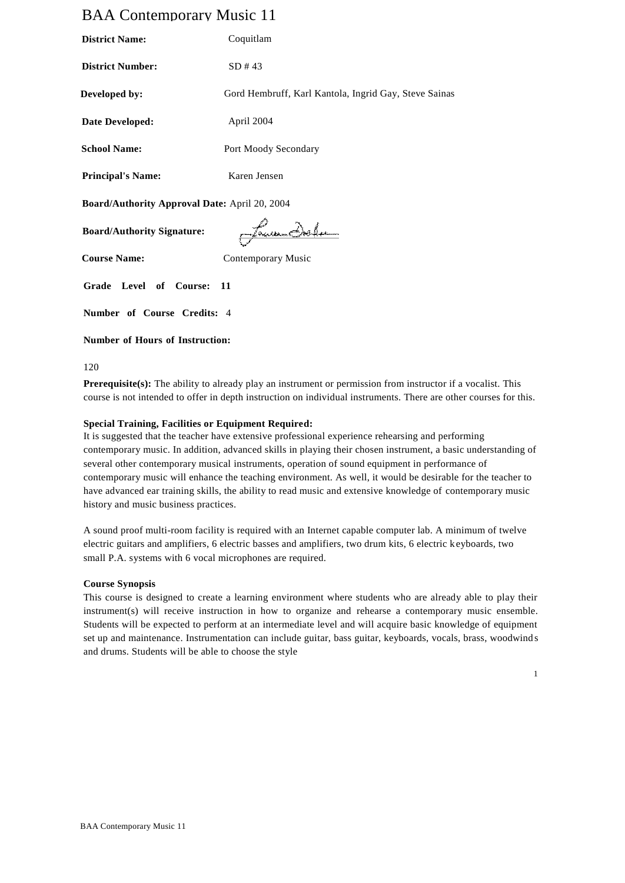# BAA Contemporary Music 11

| <b>District Name:</b>                                | Coquitlam                                             |  |
|------------------------------------------------------|-------------------------------------------------------|--|
| <b>District Number:</b>                              | SD #43                                                |  |
| Developed by:                                        | Gord Hembruff, Karl Kantola, Ingrid Gay, Steve Sainas |  |
| Date Developed:                                      | April 2004                                            |  |
| <b>School Name:</b>                                  | Port Moody Secondary                                  |  |
| <b>Principal's Name:</b>                             | Karen Jensen                                          |  |
| <b>Board/Authority Approval Date: April 20, 2004</b> |                                                       |  |

**Board/Authority Signature:**

Euren Delem

**Course Name:** Contemporary Music

**Grade Level of Course: 11** 

**Number of Course Credits:** 4

## **Number of Hours of Instruction:**

120

**Prerequisite(s):** The ability to already play an instrument or permission from instructor if a vocalist. This course is not intended to offer in depth instruction on individual instruments. There are other courses for this.

## **Special Training, Facilities or Equipment Required:**

It is suggested that the teacher have extensive professional experience rehearsing and performing contemporary music. In addition, advanced skills in playing their chosen instrument, a basic understanding of several other contemporary musical instruments, operation of sound equipment in performance of contemporary music will enhance the teaching environment. As well, it would be desirable for the teacher to have advanced ear training skills, the ability to read music and extensive knowledge of contemporary music history and music business practices.

A sound proof multi-room facility is required with an Internet capable computer lab. A minimum of twelve electric guitars and amplifiers, 6 electric basses and amplifiers, two drum kits, 6 electric keyboards, two small P.A. systems with 6 vocal microphones are required.

## **Course Synopsis**

This course is designed to create a learning environment where students who are already able to play their instrument(s) will receive instruction in how to organize and rehearse a contemporary music ensemble. Students will be expected to perform at an intermediate level and will acquire basic knowledge of equipment set up and maintenance. Instrumentation can include guitar, bass guitar, keyboards, vocals, brass, woodwind s and drums. Students will be able to choose the style

1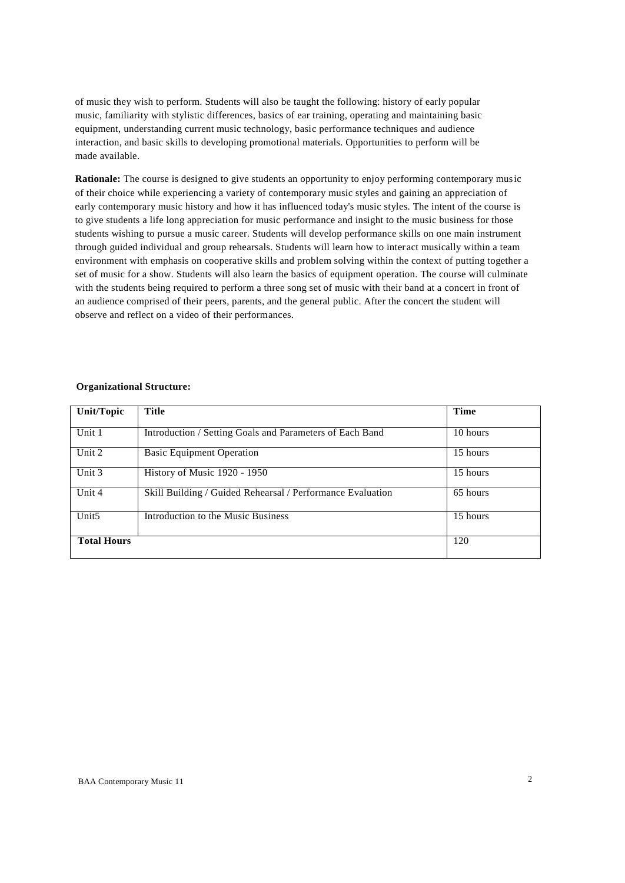of music they wish to perform. Students will also be taught the following: history of early popular music, familiarity with stylistic differences, basics of ear training, operating and maintaining basic equipment, understanding current music technology, basic performance techniques and audience interaction, and basic skills to developing promotional materials. Opportunities to perform will be made available.

**Rationale:** The course is designed to give students an opportunity to enjoy performing contemporary music of their choice while experiencing a variety of contemporary music styles and gaining an appreciation of early contemporary music history and how it has influenced today's music styles. The intent of the course is to give students a life long appreciation for music performance and insight to the music business for those students wishing to pursue a music career. Students will develop performance skills on one main instrument through guided individual and group rehearsals. Students will learn how to interact musically within a team environment with emphasis on cooperative skills and problem solving within the context of putting together a set of music for a show. Students will also learn the basics of equipment operation. The course will culminate with the students being required to perform a three song set of music with their band at a concert in front of an audience comprised of their peers, parents, and the general public. After the concert the student will observe and reflect on a video of their performances.

## **Organizational Structure:**

| Unit/Topic         | <b>Title</b>                                               | <b>Time</b> |
|--------------------|------------------------------------------------------------|-------------|
|                    |                                                            |             |
| Unit 1             | Introduction / Setting Goals and Parameters of Each Band   | 10 hours    |
| Unit 2             | <b>Basic Equipment Operation</b>                           | 15 hours    |
| Unit 3             | History of Music 1920 - 1950                               | 15 hours    |
| Unit 4             | Skill Building / Guided Rehearsal / Performance Evaluation | 65 hours    |
| Unit <sub>5</sub>  | Introduction to the Music Business                         | 15 hours    |
| <b>Total Hours</b> |                                                            | 120         |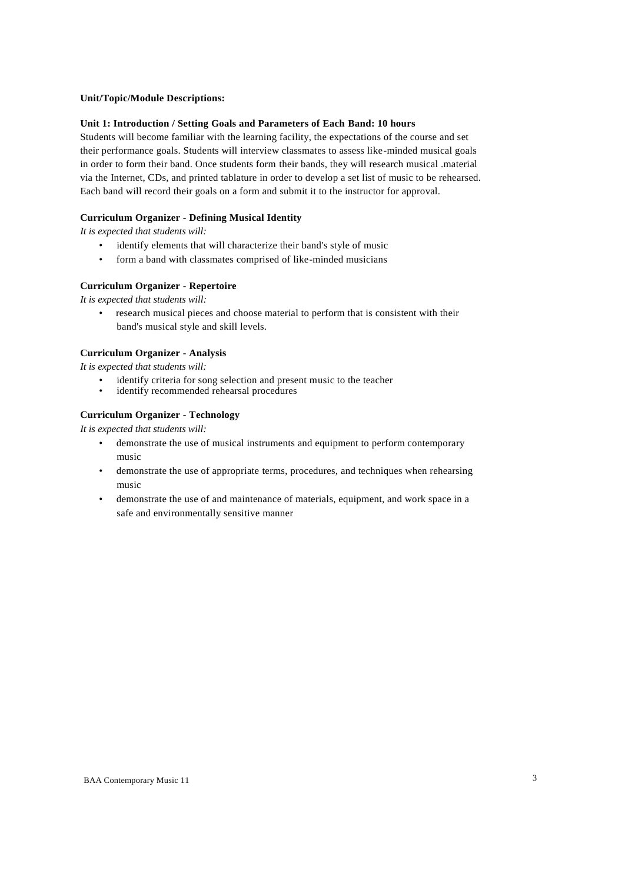## **Unit/Topic/Module Descriptions:**

#### **Unit 1: Introduction / Setting Goals and Parameters of Each Band: 10 hours**

Students will become familiar with the learning facility, the expectations of the course and set their performance goals. Students will interview classmates to assess like-minded musical goals in order to form their band. Once students form their bands, they will research musical .material via the Internet, CDs, and printed tablature in order to develop a set list of music to be rehearsed. Each band will record their goals on a form and submit it to the instructor for approval.

#### **Curriculum Organizer - Defining Musical Identity**

*It is expected that students will:*

- identify elements that will characterize their band's style of music
- form a band with classmates comprised of like-minded musicians

#### **Curriculum Organizer - Repertoire**

*It is expected that students will:*

• research musical pieces and choose material to perform that is consistent with their band's musical style and skill levels.

### **Curriculum Organizer - Analysis**

*It is expected that students will:*

- identify criteria for song selection and present music to the teacher
- identify recommended rehearsal procedures

### **Curriculum Organizer - Technology**

- demonstrate the use of musical instruments and equipment to perform contemporary music
- demonstrate the use of appropriate terms, procedures, and techniques when rehearsing music
- demonstrate the use of and maintenance of materials, equipment, and work space in a safe and environmentally sensitive manner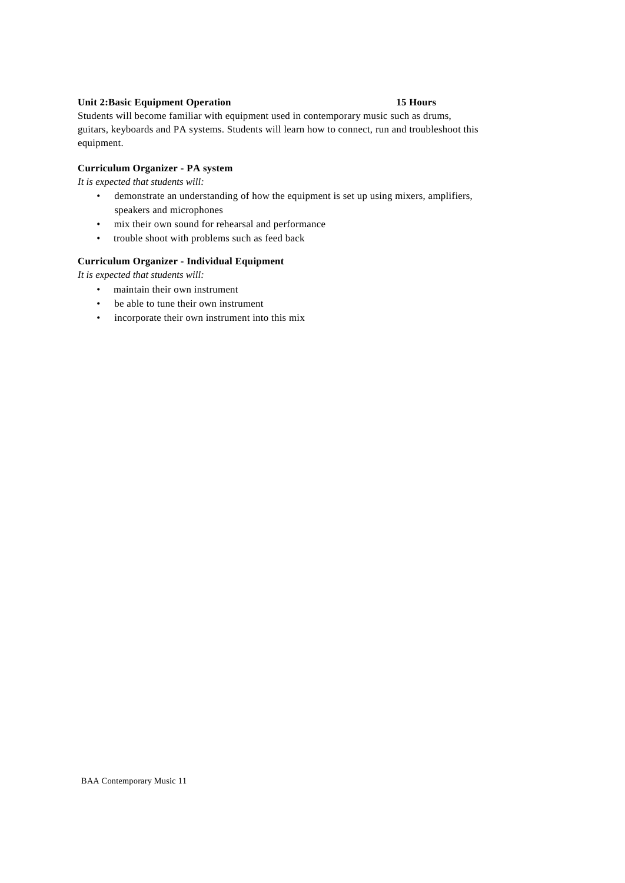## **Unit 2:Basic Equipment Operation 15 Hours**

Students will become familiar with equipment used in contemporary music such as drums, guitars, keyboards and PA systems. Students will learn how to connect, run and troubleshoot this equipment.

## **Curriculum Organizer - PA system**

*It is expected that students will:*

- demonstrate an understanding of how the equipment is set up using mixers, amplifiers, speakers and microphones
- mix their own sound for rehearsal and performance
- trouble shoot with problems such as feed back

### **Curriculum Organizer - Individual Equipment**

- maintain their own instrument
- be able to tune their own instrument
- incorporate their own instrument into this mix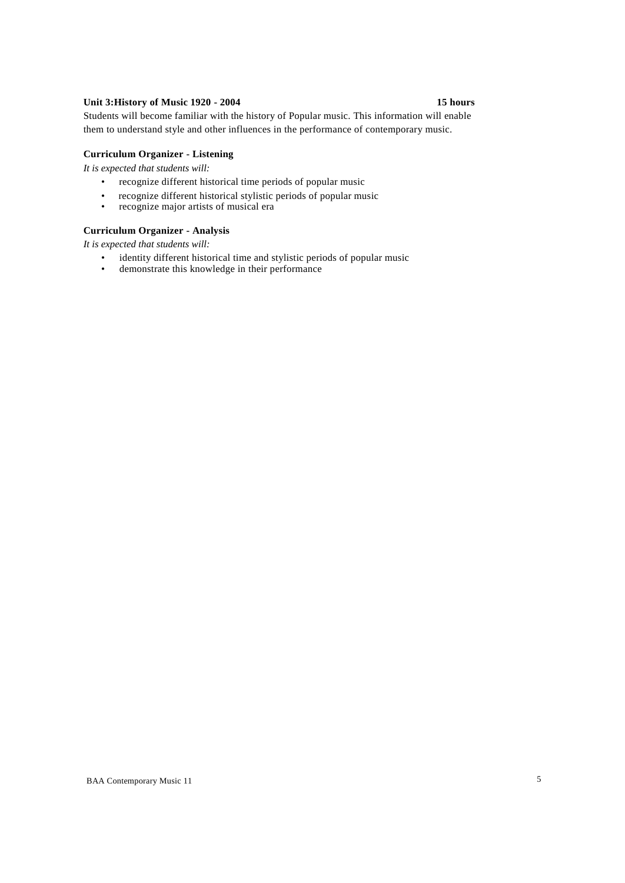## **Unit 3:History of Music 1920 - 2004 15 hours**

Students will become familiar with the history of Popular music. This information will enable them to understand style and other influences in the performance of contemporary music.

## **Curriculum Organizer - Listening**

*It is expected that students will:*

- recognize different historical time periods of popular music
- recognize different historical stylistic periods of popular music<br>• recognize maior artists of musical era
- recognize major artists of musical era

## **Curriculum Organizer - Analysis**

- identity different historical time and stylistic periods of popular music<br>• demonstrate this knowledge in their performance
- demonstrate this knowledge in their performance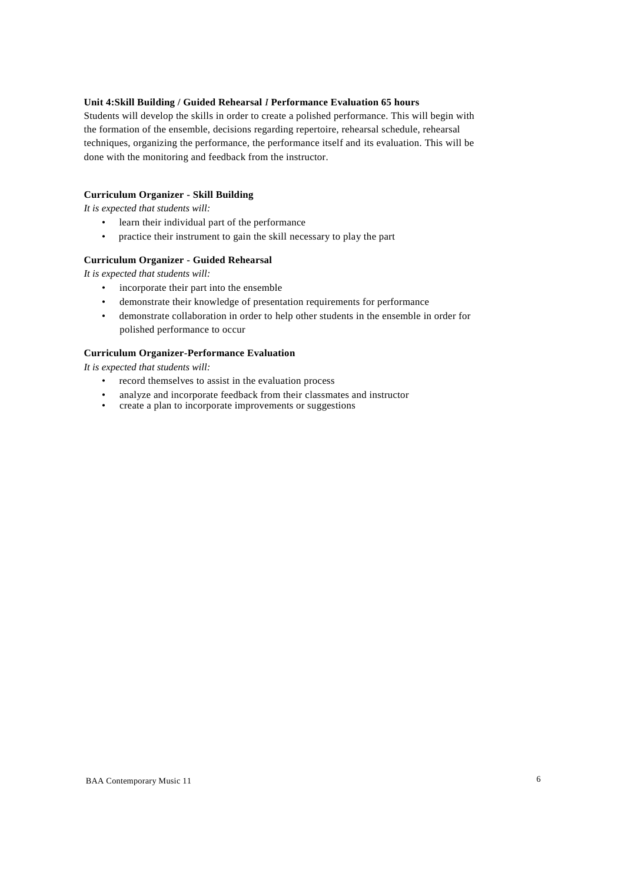## **Unit 4:Skill Building / Guided Rehearsal** *I* **Performance Evaluation 65 hours**

Students will develop the skills in order to create a polished performance. This will begin with the formation of the ensemble, decisions regarding repertoire, rehearsal schedule, rehearsal techniques, organizing the performance, the performance itself and its evaluation. This will be done with the monitoring and feedback from the instructor.

## **Curriculum Organizer - Skill Building**

*It is expected that students will:*

- learn their individual part of the performance
- practice their instrument to gain the skill necessary to play the part

#### **Curriculum Organizer - Guided Rehearsal**

*It is expected that students will:*

- incorporate their part into the ensemble
- demonstrate their knowledge of presentation requirements for performance
- demonstrate collaboration in order to help other students in the ensemble in order for polished performance to occur

#### **Curriculum Organizer-Performance Evaluation**

- record themselves to assist in the evaluation process
- analyze and incorporate feedback from their classmates and instructor<br>• create a plan to incorporate improvements or suggestions
- create a plan to incorporate improvements or suggestions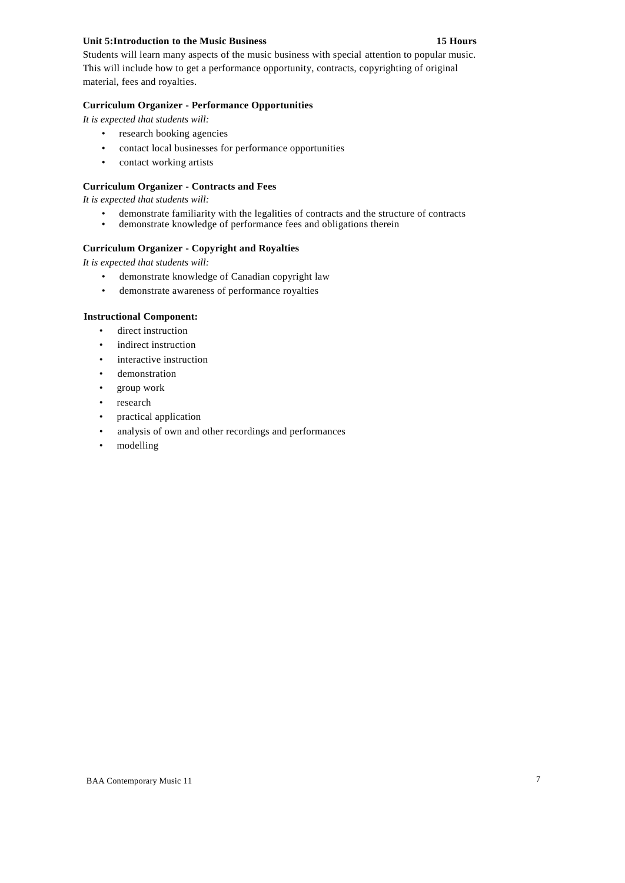## **Unit 5:Introduction to the Music Business 15 Hours**

Students will learn many aspects of the music business with special attention to popular music. This will include how to get a performance opportunity, contracts, copyrighting of original material, fees and royalties.

## **Curriculum Organizer - Performance Opportunities**

*It is expected that students will:*

- research booking agencies
- contact local businesses for performance opportunities
- contact working artists

## **Curriculum Organizer - Contracts and Fees**

*It is expected that students will:*

- demonstrate familiarity with the legalities of contracts and the structure of contracts demonstrate knowledge of performance fees and obligations therein
- demonstrate knowledge of performance fees and obligations therein

## **Curriculum Organizer - Copyright and Royalties**

*It is expected that students will:*

- demonstrate knowledge of Canadian copyright law
- demonstrate awareness of performance royalties

### **Instructional Component:**

- direct instruction
- indirect instruction
- interactive instruction
- demonstration
- group work
- research
- practical application
- analysis of own and other recordings and performances
- modelling